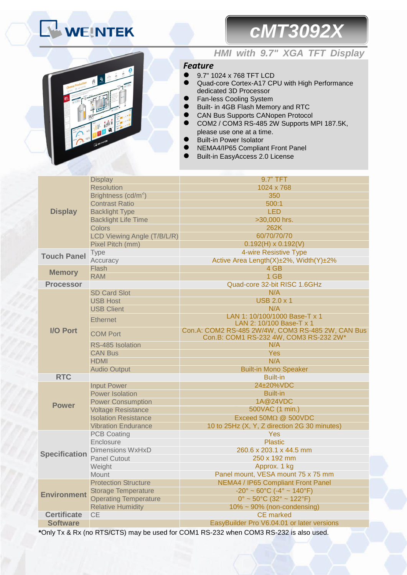# **WEINTEK**

# *cMT3092X*



## *HMI with 9.7" XGA TFT Display*

### *Feature*

- 9.7" 1024 x 768 TFT LCD
- Quad-core Cortex-A17 CPU with High Performance dedicated 3D Processor
- Fan-less Cooling System
- Built- in 4GB Flash Memory and RTC
	- CAN Bus Supports CANopen Protocol
- COM2 / COM3 RS-485 2W Supports MPI 187.5K, please use one at a time.
- Built-in Power Isolator
- NEMA4/IP65 Compliant Front Panel
- Built-in EasyAccess 2.0 License

|                      | <b>Display</b>                  | 9.7" TFT                                                                                    |  |
|----------------------|---------------------------------|---------------------------------------------------------------------------------------------|--|
|                      | <b>Resolution</b>               | 1024 x 768                                                                                  |  |
|                      | Brightness (cd/m <sup>2</sup> ) | 350                                                                                         |  |
|                      | <b>Contrast Ratio</b>           | 500:1                                                                                       |  |
| <b>Display</b>       | <b>Backlight Type</b>           | <b>LED</b>                                                                                  |  |
|                      | <b>Backlight Life Time</b>      | >30,000 hrs.                                                                                |  |
|                      | <b>Colors</b>                   | 262K                                                                                        |  |
|                      | LCD Viewing Angle (T/B/L/R)     | 60/70/70/70                                                                                 |  |
|                      | Pixel Pitch (mm)                | $0.192(H) \times 0.192(V)$                                                                  |  |
| <b>Touch Panel</b>   | Type                            | 4-wire Resistive Type                                                                       |  |
|                      | Accuracy                        | Active Area Length(X)±2%, Width(Y)±2%                                                       |  |
| <b>Memory</b>        | Flash                           | 4 GB                                                                                        |  |
|                      | <b>RAM</b>                      | 1 GB                                                                                        |  |
| <b>Processor</b>     |                                 | Quad-core 32-bit RISC 1.6GHz                                                                |  |
|                      | <b>SD Card Slot</b>             | N/A                                                                                         |  |
|                      | <b>USB Host</b>                 | <b>USB 2.0 x 1</b>                                                                          |  |
|                      | <b>USB Client</b>               | N/A                                                                                         |  |
|                      | <b>Ethernet</b>                 | LAN 1: 10/100/1000 Base-T x 1                                                               |  |
|                      |                                 | LAN 2: 10/100 Base-T x 1                                                                    |  |
| <b>I/O Port</b>      | <b>COM Port</b>                 | Con.A: COM2 RS-485 2W/4W, COM3 RS-485 2W, CAN Bus<br>Con.B: COM1 RS-232 4W, COM3 RS-232 2W* |  |
|                      | RS-485 Isolation                | N/A                                                                                         |  |
|                      | <b>CAN Bus</b>                  | Yes                                                                                         |  |
|                      | <b>HDMI</b>                     | N/A                                                                                         |  |
|                      | <b>Audio Output</b>             | <b>Built-in Mono Speaker</b>                                                                |  |
| <b>RTC</b>           |                                 | <b>Built-in</b>                                                                             |  |
|                      | <b>Input Power</b>              | 24±20%VDC                                                                                   |  |
|                      | <b>Power Isolation</b>          | <b>Built-in</b>                                                                             |  |
| <b>Power</b>         | <b>Power Consumption</b>        | 1A@24VDC                                                                                    |  |
|                      | <b>Voltage Resistance</b>       | 500VAC (1 min.)                                                                             |  |
|                      | <b>Isolation Resistance</b>     | Exceed $50M\Omega$ @ $500VDC$                                                               |  |
|                      | <b>Vibration Endurance</b>      | 10 to 25Hz (X, Y, Z direction 2G 30 minutes)                                                |  |
|                      | <b>PCB Coating</b>              | Yes                                                                                         |  |
|                      | Enclosure                       | <b>Plastic</b>                                                                              |  |
| <b>Specification</b> | Dimensions WxHxD                | 260.6 x 203.1 x 44.5 mm                                                                     |  |
|                      | <b>Panel Cutout</b>             | 250 x 192 mm                                                                                |  |
|                      | Weight                          | Approx. 1 kg                                                                                |  |
|                      | <b>Mount</b>                    | Panel mount, VESA mount 75 x 75 mm                                                          |  |
| <b>Environment</b>   | <b>Protection Structure</b>     | NEMA4 / IP65 Compliant Front Panel                                                          |  |
|                      | <b>Storage Temperature</b>      | $-20^{\circ} \sim 60^{\circ}$ C ( $-4^{\circ} \sim 140^{\circ}$ F)                          |  |
|                      | <b>Operating Temperature</b>    | $0^{\circ}$ ~ 50 $^{\circ}$ C (32 $^{\circ}$ ~ 122 $^{\circ}$ F)                            |  |
|                      | <b>Relative Humidity</b>        | $10\% \sim 90\%$ (non-condensing)                                                           |  |
| <b>Certificate</b>   | <b>CE</b>                       | <b>CE</b> marked                                                                            |  |
| <b>Software</b>      |                                 | EasyBuilder Pro V6.04.01 or later versions                                                  |  |
|                      | DTO/CTO                         |                                                                                             |  |

**\***Only Tx & Rx (no RTS/CTS) may be used for COM1 RS-232 when COM3 RS-232 is also used.